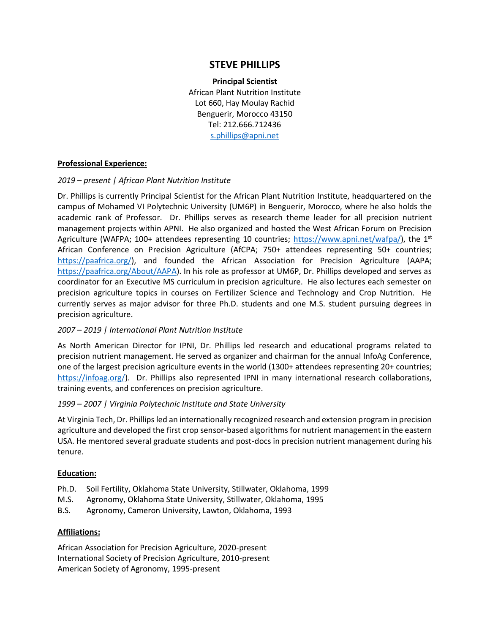# **STEVE PHILLIPS**

**Principal Scientist** African Plant Nutrition Institute Lot 660, Hay Moulay Rachid Benguerir, Morocco 43150 Tel: 212.666.712436 [s.phillips@apni.net](mailto:s.phillips@apni.net)

# **Professional Experience:**

## *2019 – present | African Plant Nutrition Institute*

Dr. Phillips is currently Principal Scientist for the African Plant Nutrition Institute, headquartered on the campus of Mohamed VI Polytechnic University (UM6P) in Benguerir, Morocco, where he also holds the academic rank of Professor. Dr. Phillips serves as research theme leader for all precision nutrient management projects within APNI. He also organized and hosted the West African Forum on Precision Agriculture (WAFPA; 100+ attendees representing 10 countries; [https://www.apni.net/wafpa/\)](https://www.apni.net/wafpa/), the  $1^{st}$ African Conference on Precision Agriculture (AfCPA; 750+ attendees representing 50+ countries; [https://paafrica.org/\)](https://paafrica.org/), and founded the African Association for Precision Agriculture (AAPA; [https://paafrica.org/About/AAPA\)](https://paafrica.org/About/AAPA). In his role as professor at UM6P, Dr. Phillips developed and serves as coordinator for an Executive MS curriculum in precision agriculture. He also lectures each semester on precision agriculture topics in courses on Fertilizer Science and Technology and Crop Nutrition. He currently serves as major advisor for three Ph.D. students and one M.S. student pursuing degrees in precision agriculture.

# *2007 – 2019 | International Plant Nutrition Institute*

As North American Director for IPNI, Dr. Phillips led research and educational programs related to precision nutrient management. He served as organizer and chairman for the annual InfoAg Conference, one of the largest precision agriculture events in the world (1300+ attendees representing 20+ countries; [https://infoag.org/\)](https://infoag.org/). Dr. Phillips also represented IPNI in many international research collaborations, training events, and conferences on precision agriculture.

#### *1999 – 2007 | Virginia Polytechnic Institute and State University*

At Virginia Tech, Dr. Phillips led an internationally recognized research and extension program in precision agriculture and developed the first crop sensor-based algorithms for nutrient management in the eastern USA. He mentored several graduate students and post-docs in precision nutrient management during his tenure.

#### **Education:**

- Ph.D. Soil Fertility, Oklahoma State University, Stillwater, Oklahoma, 1999
- M.S. Agronomy, Oklahoma State University, Stillwater, Oklahoma, 1995
- B.S. Agronomy, Cameron University, Lawton, Oklahoma, 1993

# **Affiliations:**

African Association for Precision Agriculture, 2020-present International Society of Precision Agriculture, 2010-present American Society of Agronomy, 1995-present